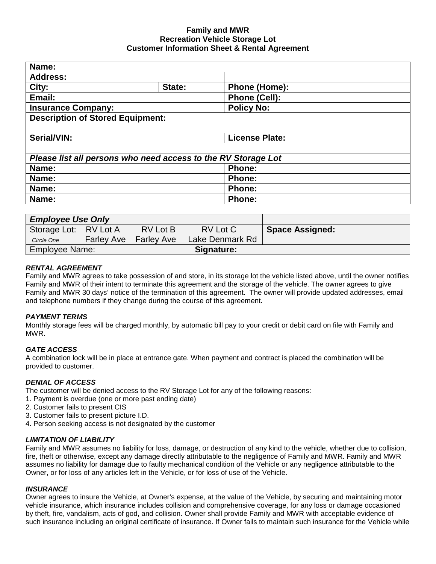# **Family and MWR Recreation Vehicle Storage Lot Customer Information Sheet & Rental Agreement**

| Name:                                                         |        |                       |  |  |  |
|---------------------------------------------------------------|--------|-----------------------|--|--|--|
| <b>Address:</b>                                               |        |                       |  |  |  |
| City:                                                         | State: | Phone (Home):         |  |  |  |
| Email:                                                        |        | Phone (Cell):         |  |  |  |
| <b>Insurance Company:</b>                                     |        | <b>Policy No:</b>     |  |  |  |
| <b>Description of Stored Equipment:</b>                       |        |                       |  |  |  |
| Serial/VIN:                                                   |        | <b>License Plate:</b> |  |  |  |
|                                                               |        |                       |  |  |  |
| Please list all persons who need access to the RV Storage Lot |        |                       |  |  |  |
| Name:                                                         |        | Phone:                |  |  |  |
| Name:                                                         |        | <b>Phone:</b>         |  |  |  |
| Name:                                                         |        | <b>Phone:</b>         |  |  |  |
| Name:                                                         |        | <b>Phone:</b>         |  |  |  |
|                                                               |        |                       |  |  |  |

| <b>Employee Use Only</b> |  |                              |                 |                        |
|--------------------------|--|------------------------------|-----------------|------------------------|
| Storage Lot: RV Lot A    |  | RV Lot B                     | RV Lot C        | <b>Space Assigned:</b> |
| Circle One               |  | <b>Farley Ave</b> Farley Ave | Lake Denmark Rd |                        |
| Employee Name:           |  |                              | Signature:      |                        |

# *RENTAL AGREEMENT*

Family and MWR agrees to take possession of and store, in its storage lot the vehicle listed above, until the owner notifies Family and MWR of their intent to terminate this agreement and the storage of the vehicle. The owner agrees to give Family and MWR 30 days' notice of the termination of this agreement. The owner will provide updated addresses, email and telephone numbers if they change during the course of this agreement.

# *PAYMENT TERMS*

Monthly storage fees will be charged monthly, by automatic bill pay to your credit or debit card on file with Family and MWR.

# *GATE ACCESS*

A combination lock will be in place at entrance gate. When payment and contract is placed the combination will be provided to customer.

# *DENIAL OF ACCESS*

The customer will be denied access to the RV Storage Lot for any of the following reasons:

- 1. Payment is overdue (one or more past ending date)
- 2. Customer fails to present CIS
- 3. Customer fails to present picture I.D.
- 4. Person seeking access is not designated by the customer

# *LIMITATION OF LIABILITY*

Family and MWR assumes no liability for loss, damage, or destruction of any kind to the vehicle, whether due to collision, fire, theft or otherwise, except any damage directly attributable to the negligence of Family and MWR. Family and MWR assumes no liability for damage due to faulty mechanical condition of the Vehicle or any negligence attributable to the Owner, or for loss of any articles left in the Vehicle, or for loss of use of the Vehicle.

# *INSURANCE*

Owner agrees to insure the Vehicle, at Owner's expense, at the value of the Vehicle, by securing and maintaining motor vehicle insurance, which insurance includes collision and comprehensive coverage, for any loss or damage occasioned by theft, fire, vandalism, acts of god, and collision. Owner shall provide Family and MWR with acceptable evidence of such insurance including an original certificate of insurance. If Owner fails to maintain such insurance for the Vehicle while